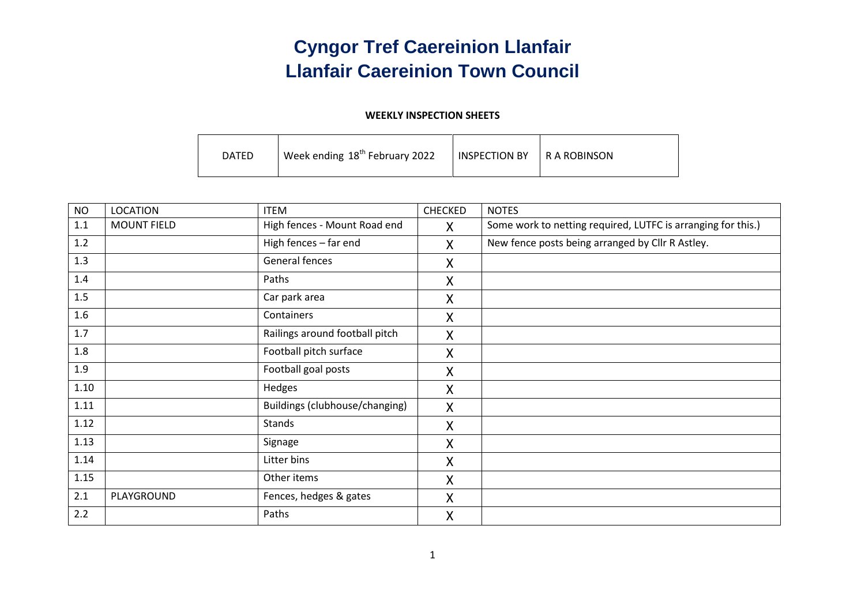## **Cyngor Tref Caereinion Llanfair Llanfair Caereinion Town Council**

#### **WEEKLY INSPECTION SHEETS**

| DATED | Week ending 18 <sup>th</sup> February 2022 | <b>INSPECTION BY</b> | I R A ROBINSON |
|-------|--------------------------------------------|----------------------|----------------|
|-------|--------------------------------------------|----------------------|----------------|

| <b>NO</b> | <b>LOCATION</b>    | <b>ITEM</b>                    | CHECKED | <b>NOTES</b>                                                 |
|-----------|--------------------|--------------------------------|---------|--------------------------------------------------------------|
| 1.1       | <b>MOUNT FIELD</b> | High fences - Mount Road end   | X.      | Some work to netting required, LUTFC is arranging for this.) |
| 1.2       |                    | High fences - far end          | X       | New fence posts being arranged by Cllr R Astley.             |
| 1.3       |                    | General fences                 | X       |                                                              |
| 1.4       |                    | Paths                          | X       |                                                              |
| 1.5       |                    | Car park area                  | X       |                                                              |
| 1.6       |                    | Containers                     | X       |                                                              |
| 1.7       |                    | Railings around football pitch | X       |                                                              |
| 1.8       |                    | Football pitch surface         | X       |                                                              |
| 1.9       |                    | Football goal posts            | X       |                                                              |
| 1.10      |                    | Hedges                         | X       |                                                              |
| 1.11      |                    | Buildings (clubhouse/changing) | X       |                                                              |
| 1.12      |                    | <b>Stands</b>                  | X       |                                                              |
| 1.13      |                    | Signage                        | X       |                                                              |
| 1.14      |                    | Litter bins                    | X       |                                                              |
| 1.15      |                    | Other items                    | X       |                                                              |
| 2.1       | PLAYGROUND         | Fences, hedges & gates         | X       |                                                              |
| 2.2       |                    | Paths                          | X       |                                                              |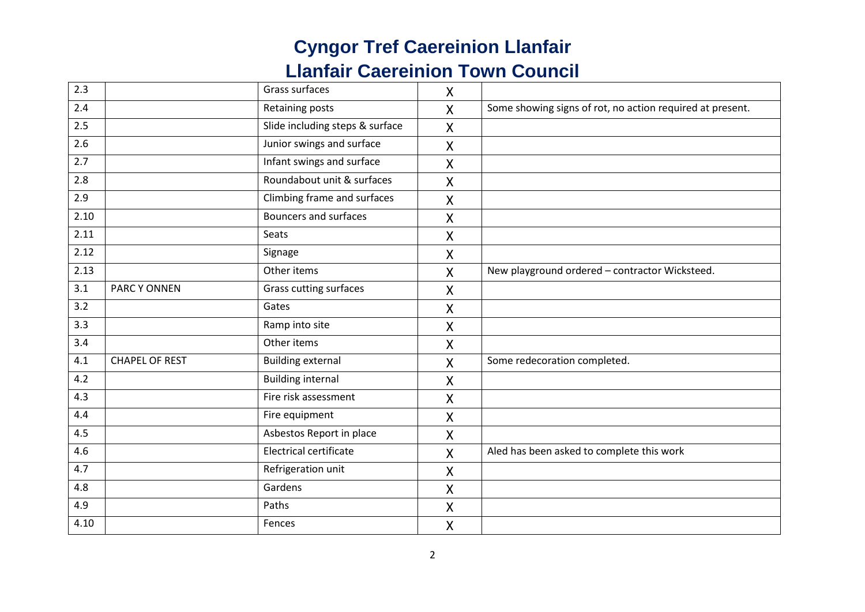| 2.3  |                       | Grass surfaces                  | $\sf X$                   |                                                           |
|------|-----------------------|---------------------------------|---------------------------|-----------------------------------------------------------|
| 2.4  |                       | Retaining posts                 | $\overline{\mathsf{X}}$   | Some showing signs of rot, no action required at present. |
| 2.5  |                       | Slide including steps & surface | $\boldsymbol{\mathsf{X}}$ |                                                           |
| 2.6  |                       | Junior swings and surface       | $\mathsf{X}$              |                                                           |
| 2.7  |                       | Infant swings and surface       | $\sf X$                   |                                                           |
| 2.8  |                       | Roundabout unit & surfaces      | $\sf X$                   |                                                           |
| 2.9  |                       | Climbing frame and surfaces     | $\pmb{\mathsf{X}}$        |                                                           |
| 2.10 |                       | <b>Bouncers and surfaces</b>    | $\sf X$                   |                                                           |
| 2.11 |                       | Seats                           | $\sf X$                   |                                                           |
| 2.12 |                       | Signage                         | $\sf X$                   |                                                           |
| 2.13 |                       | Other items                     | X                         | New playground ordered - contractor Wicksteed.            |
| 3.1  | PARC Y ONNEN          | Grass cutting surfaces          | $\sf X$                   |                                                           |
| 3.2  |                       | Gates                           | $\mathsf{X}$              |                                                           |
| 3.3  |                       | Ramp into site                  | $\sf X$                   |                                                           |
| 3.4  |                       | Other items                     | $\sf X$                   |                                                           |
| 4.1  | <b>CHAPEL OF REST</b> | <b>Building external</b>        | X                         | Some redecoration completed.                              |
| 4.2  |                       | <b>Building internal</b>        | X                         |                                                           |
| 4.3  |                       | Fire risk assessment            | $\sf X$                   |                                                           |
| 4.4  |                       | Fire equipment                  | $\pmb{\mathsf{X}}$        |                                                           |
| 4.5  |                       | Asbestos Report in place        | $\sf X$                   |                                                           |
| 4.6  |                       | <b>Electrical certificate</b>   | $\sf X$                   | Aled has been asked to complete this work                 |
| 4.7  |                       | Refrigeration unit              | X                         |                                                           |
| 4.8  |                       | Gardens                         | X                         |                                                           |
| 4.9  |                       | Paths                           | X                         |                                                           |
| 4.10 |                       | Fences                          | $\pmb{\mathsf{X}}$        |                                                           |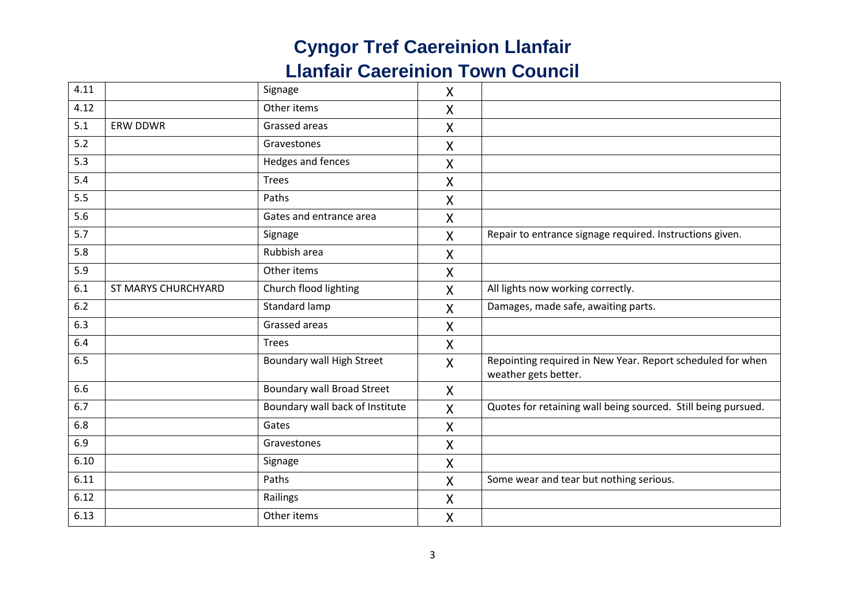| 4.11 |                     | Signage                           | $\sf X$            |                                                                                    |
|------|---------------------|-----------------------------------|--------------------|------------------------------------------------------------------------------------|
| 4.12 |                     | Other items                       | $\sf X$            |                                                                                    |
| 5.1  | <b>ERW DDWR</b>     | Grassed areas                     | $\pmb{\mathsf{X}}$ |                                                                                    |
| 5.2  |                     | Gravestones                       | Χ                  |                                                                                    |
| 5.3  |                     | Hedges and fences                 | $\sf X$            |                                                                                    |
| 5.4  |                     | Trees                             | $\sf X$            |                                                                                    |
| 5.5  |                     | Paths                             | X                  |                                                                                    |
| 5.6  |                     | Gates and entrance area           | X                  |                                                                                    |
| 5.7  |                     | Signage                           | X                  | Repair to entrance signage required. Instructions given.                           |
| 5.8  |                     | Rubbish area                      | X                  |                                                                                    |
| 5.9  |                     | Other items                       | X                  |                                                                                    |
| 6.1  | ST MARYS CHURCHYARD | Church flood lighting             | $\mathsf{X}$       | All lights now working correctly.                                                  |
| 6.2  |                     | Standard lamp                     | X                  | Damages, made safe, awaiting parts.                                                |
| 6.3  |                     | Grassed areas                     | X                  |                                                                                    |
| 6.4  |                     | Trees                             | $\sf X$            |                                                                                    |
| 6.5  |                     | <b>Boundary wall High Street</b>  | $\mathsf{X}$       | Repointing required in New Year. Report scheduled for when<br>weather gets better. |
| 6.6  |                     | <b>Boundary wall Broad Street</b> | X                  |                                                                                    |
| 6.7  |                     | Boundary wall back of Institute   | X                  | Quotes for retaining wall being sourced. Still being pursued.                      |
| 6.8  |                     | Gates                             | X                  |                                                                                    |
| 6.9  |                     | Gravestones                       | X                  |                                                                                    |
| 6.10 |                     | Signage                           | X                  |                                                                                    |
| 6.11 |                     | Paths                             | $\sf X$            | Some wear and tear but nothing serious.                                            |
| 6.12 |                     | Railings                          | X                  |                                                                                    |
| 6.13 |                     | Other items                       | X                  |                                                                                    |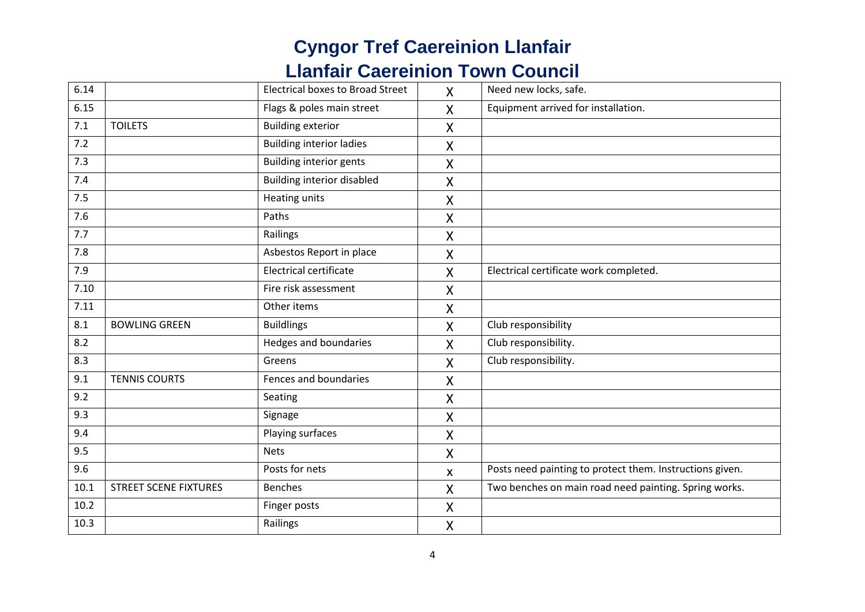| 6.14 |                              | <b>Electrical boxes to Broad Street</b> | $\mathsf{X}$              | Need new locks, safe.                                    |
|------|------------------------------|-----------------------------------------|---------------------------|----------------------------------------------------------|
| 6.15 |                              | Flags & poles main street               | $\mathsf{X}$              | Equipment arrived for installation.                      |
| 7.1  | <b>TOILETS</b>               | <b>Building exterior</b>                | X                         |                                                          |
| 7.2  |                              | <b>Building interior ladies</b>         | X                         |                                                          |
| 7.3  |                              | <b>Building interior gents</b>          | Χ                         |                                                          |
| 7.4  |                              | <b>Building interior disabled</b>       | X                         |                                                          |
| 7.5  |                              | <b>Heating units</b>                    | X                         |                                                          |
| 7.6  |                              | Paths                                   | X                         |                                                          |
| 7.7  |                              | Railings                                | X                         |                                                          |
| 7.8  |                              | Asbestos Report in place                | $\sf X$                   |                                                          |
| 7.9  |                              | <b>Electrical certificate</b>           | $\mathsf{X}$              | Electrical certificate work completed.                   |
| 7.10 |                              | Fire risk assessment                    | X                         |                                                          |
| 7.11 |                              | Other items                             | $\pmb{\mathsf{X}}$        |                                                          |
| 8.1  | <b>BOWLING GREEN</b>         | <b>Buildlings</b>                       | X                         | Club responsibility                                      |
| 8.2  |                              | Hedges and boundaries                   | $\boldsymbol{\mathsf{X}}$ | Club responsibility.                                     |
| 8.3  |                              | Greens                                  | X                         | Club responsibility.                                     |
| 9.1  | <b>TENNIS COURTS</b>         | Fences and boundaries                   | X                         |                                                          |
| 9.2  |                              | Seating                                 | $\boldsymbol{\mathsf{X}}$ |                                                          |
| 9.3  |                              | Signage                                 | $\mathsf{X}$              |                                                          |
| 9.4  |                              | Playing surfaces                        | Χ                         |                                                          |
| 9.5  |                              | <b>Nets</b>                             | $\pmb{\mathsf{X}}$        |                                                          |
| 9.6  |                              | Posts for nets                          | $\boldsymbol{\mathsf{x}}$ | Posts need painting to protect them. Instructions given. |
| 10.1 | <b>STREET SCENE FIXTURES</b> | <b>Benches</b>                          | X                         | Two benches on main road need painting. Spring works.    |
| 10.2 |                              | Finger posts                            | Χ                         |                                                          |
| 10.3 |                              | Railings                                | $\mathsf{X}$              |                                                          |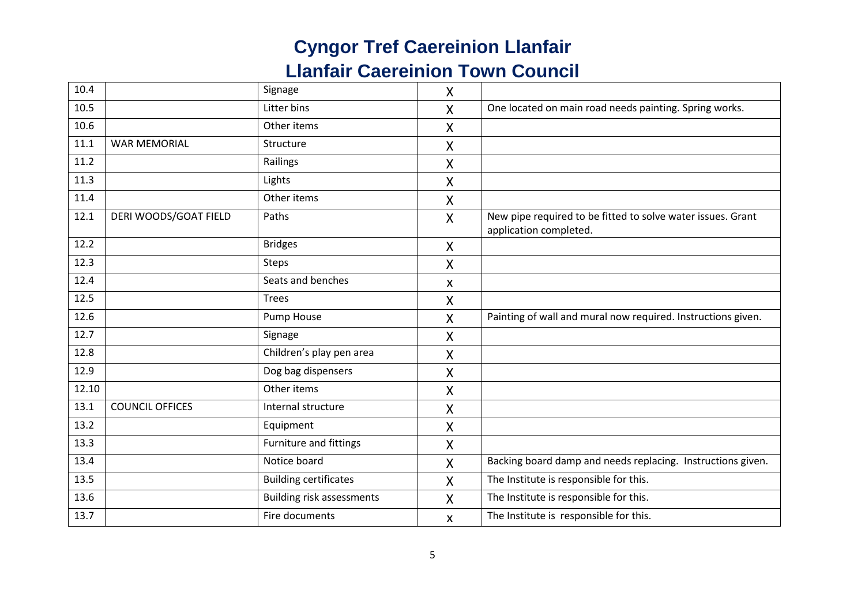| 10.4  |                        | Signage                          | $\pmb{\mathsf{X}}$        |                                                                                       |
|-------|------------------------|----------------------------------|---------------------------|---------------------------------------------------------------------------------------|
| 10.5  |                        | Litter bins                      | X                         | One located on main road needs painting. Spring works.                                |
| 10.6  |                        | Other items                      | $\boldsymbol{\mathsf{X}}$ |                                                                                       |
| 11.1  | <b>WAR MEMORIAL</b>    | Structure                        | X                         |                                                                                       |
| 11.2  |                        | Railings                         | X                         |                                                                                       |
| 11.3  |                        | Lights                           | X                         |                                                                                       |
| 11.4  |                        | Other items                      | X                         |                                                                                       |
| 12.1  | DERI WOODS/GOAT FIELD  | Paths                            | $\mathsf{X}$              | New pipe required to be fitted to solve water issues. Grant<br>application completed. |
| 12.2  |                        | <b>Bridges</b>                   | $\boldsymbol{\mathsf{X}}$ |                                                                                       |
| 12.3  |                        | <b>Steps</b>                     | X                         |                                                                                       |
| 12.4  |                        | Seats and benches                | X                         |                                                                                       |
| 12.5  |                        | <b>Trees</b>                     | X                         |                                                                                       |
| 12.6  |                        | Pump House                       | $\boldsymbol{\mathsf{X}}$ | Painting of wall and mural now required. Instructions given.                          |
| 12.7  |                        | Signage                          | X                         |                                                                                       |
| 12.8  |                        | Children's play pen area         | X                         |                                                                                       |
| 12.9  |                        | Dog bag dispensers               | X                         |                                                                                       |
| 12.10 |                        | Other items                      | X                         |                                                                                       |
| 13.1  | <b>COUNCIL OFFICES</b> | Internal structure               | X                         |                                                                                       |
| 13.2  |                        | Equipment                        | X                         |                                                                                       |
| 13.3  |                        | Furniture and fittings           | X                         |                                                                                       |
| 13.4  |                        | Notice board                     | $\mathsf{X}$              | Backing board damp and needs replacing. Instructions given.                           |
| 13.5  |                        | <b>Building certificates</b>     | X                         | The Institute is responsible for this.                                                |
| 13.6  |                        | <b>Building risk assessments</b> | X                         | The Institute is responsible for this.                                                |
| 13.7  |                        | Fire documents                   | X                         | The Institute is responsible for this.                                                |